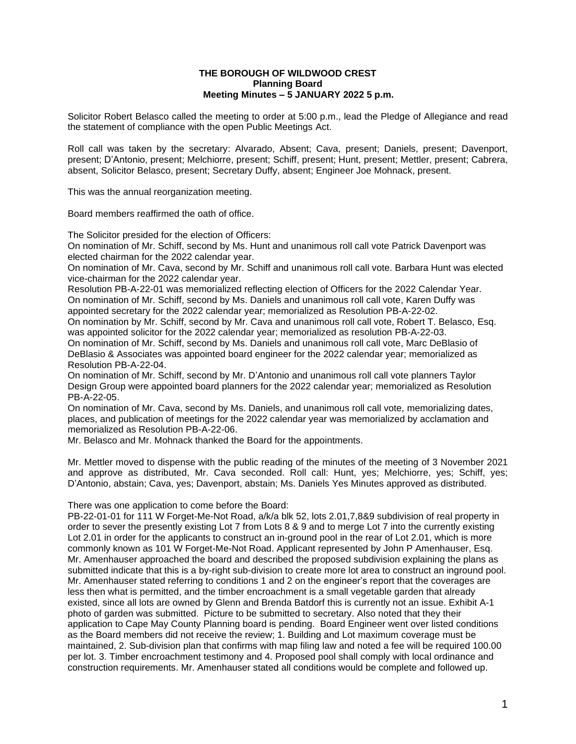## **THE BOROUGH OF WILDWOOD CREST Planning Board Meeting Minutes – 5 JANUARY 2022 5 p.m.**

Solicitor Robert Belasco called the meeting to order at 5:00 p.m., lead the Pledge of Allegiance and read the statement of compliance with the open Public Meetings Act.

Roll call was taken by the secretary: Alvarado, Absent; Cava, present; Daniels, present; Davenport, present; D'Antonio, present; Melchiorre, present; Schiff, present; Hunt, present; Mettler, present; Cabrera, absent, Solicitor Belasco, present; Secretary Duffy, absent; Engineer Joe Mohnack, present.

This was the annual reorganization meeting.

Board members reaffirmed the oath of office.

The Solicitor presided for the election of Officers:

On nomination of Mr. Schiff, second by Ms. Hunt and unanimous roll call vote Patrick Davenport was elected chairman for the 2022 calendar year.

On nomination of Mr. Cava, second by Mr. Schiff and unanimous roll call vote. Barbara Hunt was elected vice-chairman for the 2022 calendar year.

Resolution PB-A-22-01 was memorialized reflecting election of Officers for the 2022 Calendar Year. On nomination of Mr. Schiff, second by Ms. Daniels and unanimous roll call vote, Karen Duffy was appointed secretary for the 2022 calendar year; memorialized as Resolution PB-A-22-02.

On nomination by Mr. Schiff, second by Mr. Cava and unanimous roll call vote, Robert T. Belasco, Esq. was appointed solicitor for the 2022 calendar year; memorialized as resolution PB-A-22-03.

On nomination of Mr. Schiff, second by Ms. Daniels and unanimous roll call vote, Marc DeBlasio of DeBlasio & Associates was appointed board engineer for the 2022 calendar year; memorialized as Resolution PB-A-22-04.

On nomination of Mr. Schiff, second by Mr. D'Antonio and unanimous roll call vote planners Taylor Design Group were appointed board planners for the 2022 calendar year; memorialized as Resolution PB-A-22-05.

On nomination of Mr. Cava, second by Ms. Daniels, and unanimous roll call vote, memorializing dates, places, and publication of meetings for the 2022 calendar year was memorialized by acclamation and memorialized as Resolution PB-A-22-06.

Mr. Belasco and Mr. Mohnack thanked the Board for the appointments.

Mr. Mettler moved to dispense with the public reading of the minutes of the meeting of 3 November 2021 and approve as distributed, Mr. Cava seconded. Roll call: Hunt, yes; Melchiorre, yes; Schiff, yes; D'Antonio, abstain; Cava, yes; Davenport, abstain; Ms. Daniels Yes Minutes approved as distributed.

There was one application to come before the Board:

PB-22-01-01 for 111 W Forget-Me-Not Road, a/k/a blk 52, lots 2.01,7,8&9 subdivision of real property in order to sever the presently existing Lot 7 from Lots 8 & 9 and to merge Lot 7 into the currently existing Lot 2.01 in order for the applicants to construct an in-ground pool in the rear of Lot 2.01, which is more commonly known as 101 W Forget-Me-Not Road. Applicant represented by John P Amenhauser, Esq. Mr. Amenhauser approached the board and described the proposed subdivision explaining the plans as submitted indicate that this is a by-right sub-division to create more lot area to construct an inground pool. Mr. Amenhauser stated referring to conditions 1 and 2 on the engineer's report that the coverages are less then what is permitted, and the timber encroachment is a small vegetable garden that already existed, since all lots are owned by Glenn and Brenda Batdorf this is currently not an issue. Exhibit A-1 photo of garden was submitted. Picture to be submitted to secretary. Also noted that they their application to Cape May County Planning board is pending. Board Engineer went over listed conditions as the Board members did not receive the review; 1. Building and Lot maximum coverage must be maintained, 2. Sub-division plan that confirms with map filing law and noted a fee will be required 100.00 per lot. 3. Timber encroachment testimony and 4. Proposed pool shall comply with local ordinance and construction requirements. Mr. Amenhauser stated all conditions would be complete and followed up.